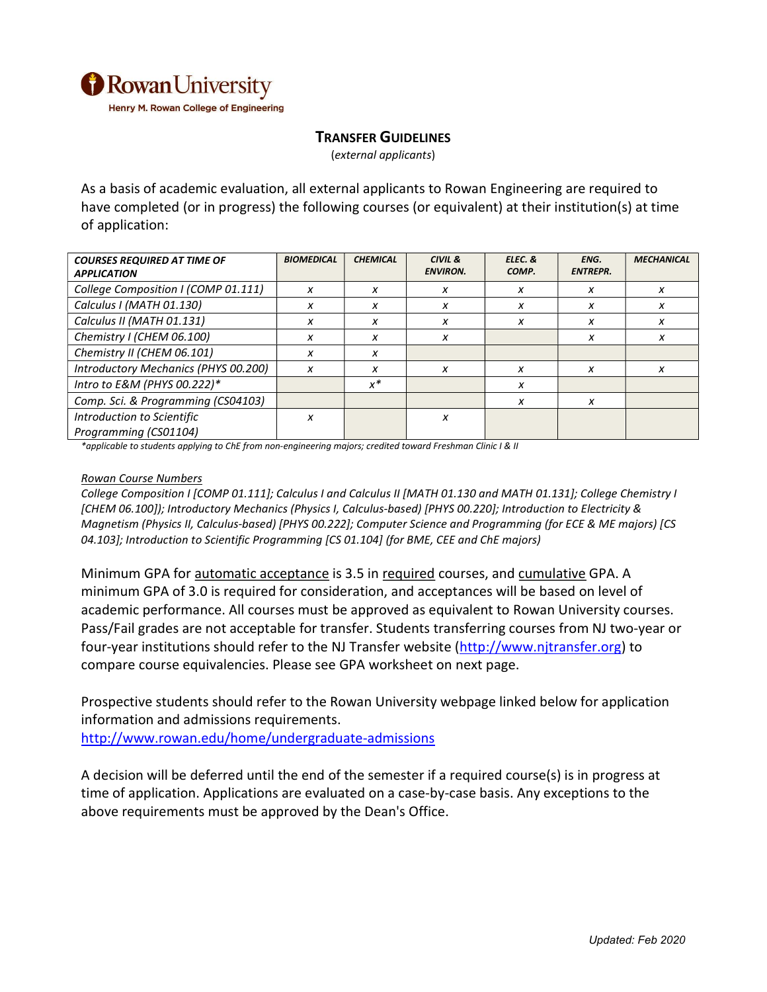

## TRANSFER GUIDELINES

(external applicants)

As a basis of academic evaluation, all external applicants to Rowan Engineering are required to have completed (or in progress) the following courses (or equivalent) at their institution(s) at time of application:

| <b>COURSES REQUIRED AT TIME OF</b><br><b>APPLICATION</b> | <b>BIOMEDICAL</b> | <b>CHEMICAL</b> | CIVIL &<br><b>ENVIRON.</b> | ELEC. &<br>COMP. | ENG.<br><b>ENTREPR.</b> | <b>MECHANICAL</b> |
|----------------------------------------------------------|-------------------|-----------------|----------------------------|------------------|-------------------------|-------------------|
| College Composition I (COMP 01.111)                      | x                 | x               | X                          | x                | x                       | x                 |
| Calculus I (MATH 01.130)                                 | x                 | x               | x                          | x                | x                       | x                 |
| Calculus II (MATH 01.131)                                | X                 | X               | x                          | x                | x                       | x                 |
| Chemistry I (CHEM 06.100)                                | x                 | x               | x                          |                  | x                       | x                 |
| Chemistry II (CHEM 06.101)                               | x                 | x               |                            |                  |                         |                   |
| Introductory Mechanics (PHYS 00.200)                     | X                 | x               | x                          | x                | x                       | X                 |
| Intro to E&M (PHYS 00.222)*                              |                   | $x^*$           |                            | x                |                         |                   |
| Comp. Sci. & Programming (CS04103)                       |                   |                 |                            | x                | x                       |                   |
| Introduction to Scientific                               | X                 |                 | x                          |                  |                         |                   |
| Programming (CS01104)                                    |                   |                 |                            |                  |                         |                   |

\*applicable to students applying to ChE from non-engineering majors; credited toward Freshman Clinic I & II

## Rowan Course Numbers

College Composition I [COMP 01.111]; Calculus I and Calculus II [MATH 01.130 and MATH 01.131]; College Chemistry I [CHEM 06.100]); Introductory Mechanics (Physics I, Calculus-based) [PHYS 00.220]; Introduction to Electricity & Magnetism (Physics II, Calculus-based) [PHYS 00.222]; Computer Science and Programming (for ECE & ME majors) [CS 04.103]; Introduction to Scientific Programming [CS 01.104] (for BME, CEE and ChE majors)

Minimum GPA for automatic acceptance is 3.5 in required courses, and cumulative GPA. A minimum GPA of 3.0 is required for consideration, and acceptances will be based on level of academic performance. All courses must be approved as equivalent to Rowan University courses. Pass/Fail grades are not acceptable for transfer. Students transferring courses from NJ two-year or four-year institutions should refer to the NJ Transfer website (http://www.njtransfer.org) to compare course equivalencies. Please see GPA worksheet on next page.

Prospective students should refer to the Rowan University webpage linked below for application information and admissions requirements.

http://www.rowan.edu/home/undergraduate-admissions

A decision will be deferred until the end of the semester if a required course(s) is in progress at time of application. Applications are evaluated on a case-by-case basis. Any exceptions to the above requirements must be approved by the Dean's Office.